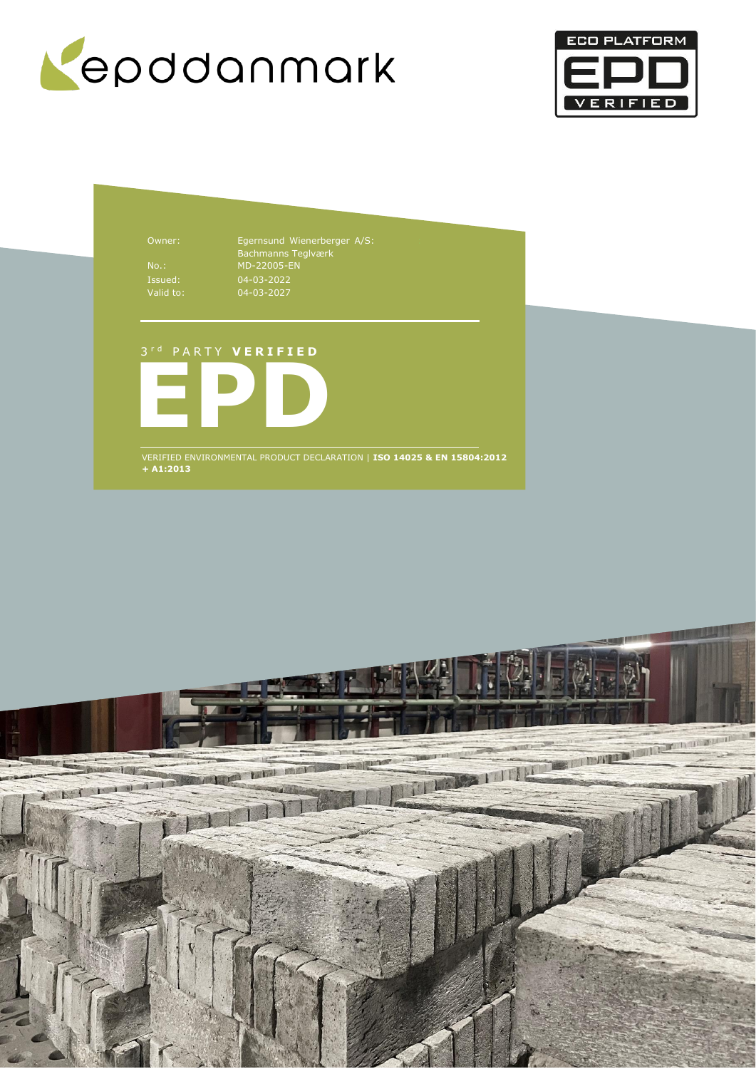



Owner: Egernsund Wienerberger A/S: Bachmanns Teglværk No.: MD-22005-EN 04-03-2022 04-03-2027

## 3 r d P A R T Y **V E R I F I E D**



VERIFIED ENVIRONMENTAL PRODUCT DECLARATION | **ISO 14025 & EN 15804:2012 + A1:2013**

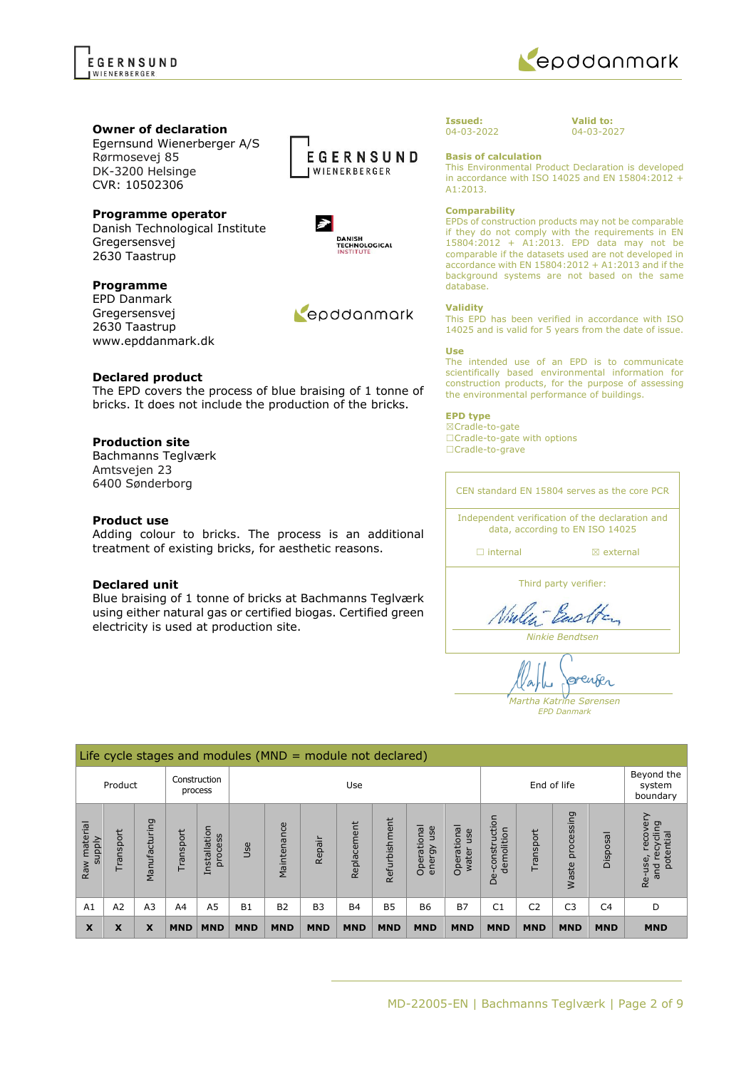

## **Owner of declaration**

Egernsund Wienerberger A/S Rørmosevej 85 DK-3200 Helsinge CVR: 10502306

## **Programme operator**

Danish Technological Institute Gregersensvej 2630 Taastrup

## **Programme**

EPD Danmark Gregersensvej 2630 Taastrup www.epddanmark.dk



### **Declared product**

The EPD covers the process of blue braising of 1 tonne of bricks. It does not include the production of the bricks.

## **Production site**

Bachmanns Teglværk Amtsvejen 23 6400 Sønderborg

### **Product use**

Adding colour to bricks. The process is an additional treatment of existing bricks, for aesthetic reasons.

#### **Declared unit**

Blue braising of 1 tonne of bricks at Bachmanns Teglværk using either natural gas or certified biogas. Certified green electricity is used at production site.

#### **Issued:** 04-03-2022

**Valid to:** 04-03-2027

**Basis of calculation**

This Environmental Product Declaration is developed in accordance with ISO 14025 and EN 15804:2012 + A1:2013.

#### **Comparability**

EPDs of construction products may not be comparable if they do not comply with the requirements in EN 15804:2012 + A1:2013. EPD data may not be comparable if the datasets used are not developed in accordance with EN 15804:2012 + A1:2013 and if the background systems are not based on the same database.

#### **Validity**

This EPD has been verified in accordance with ISO 14025 and is valid for 5 years from the date of issue.

#### **Use**

The intended use of an EPD is to communicate scientifically based environmental information for construction products, for the purpose of assessing the environmental performance of buildings.

## **EPD type**

☒Cradle-to-gate ☐Cradle-to-gate with options ☐Cradle-to-grave

CEN standard EN 15804 serves as the core PCR Independent verification of the declaration and data, according to EN ISO 14025 □ internal **a** external Third party verifier: Vialent Backen

*Ninkie Bendtsen*

renser  $\alpha$ بياد *Martha Katrine Sørensen*

*EPD Danmark*

|                        | Life cycle stages and modules ( $MND =$ module not declared) |                         |                |                         |            |             |                |             |               |                              |                                  |                                 |                |                     |                |                                                      |
|------------------------|--------------------------------------------------------------|-------------------------|----------------|-------------------------|------------|-------------|----------------|-------------|---------------|------------------------------|----------------------------------|---------------------------------|----------------|---------------------|----------------|------------------------------------------------------|
| Product                |                                                              | Construction<br>process |                | Use                     |            |             |                | End of life |               |                              | Beyond the<br>system<br>boundary |                                 |                |                     |                |                                                      |
| Raw material<br>supply | Transport                                                    | ρū<br>cturi<br>Manufa   | Transport      | Installation<br>process | <b>Use</b> | Maintenance | Repair         | Replacement | Refurbishment | Operational<br>use<br>energy | Operational<br>use<br>water      | construction<br>demolition<br>ف | Transport      | processing<br>Waste | lisposal       | recovery<br>recycling<br>potential<br>Re-use,<br>and |
| A1                     | A <sub>2</sub>                                               | A <sub>3</sub>          | A <sub>4</sub> | A5                      | <b>B1</b>  | <b>B2</b>   | B <sub>3</sub> | <b>B4</b>   | <b>B5</b>     | <b>B6</b>                    | <b>B7</b>                        | C <sub>1</sub>                  | C <sub>2</sub> | C <sub>3</sub>      | C <sub>4</sub> | D                                                    |
| X                      | X                                                            | X                       | <b>MND</b>     | <b>MND</b>              | <b>MND</b> | <b>MND</b>  | <b>MND</b>     | <b>MND</b>  | <b>MND</b>    | <b>MND</b>                   | <b>MND</b>                       | <b>MND</b>                      | <b>MND</b>     | <b>MND</b>          | <b>MND</b>     | <b>MND</b>                                           |





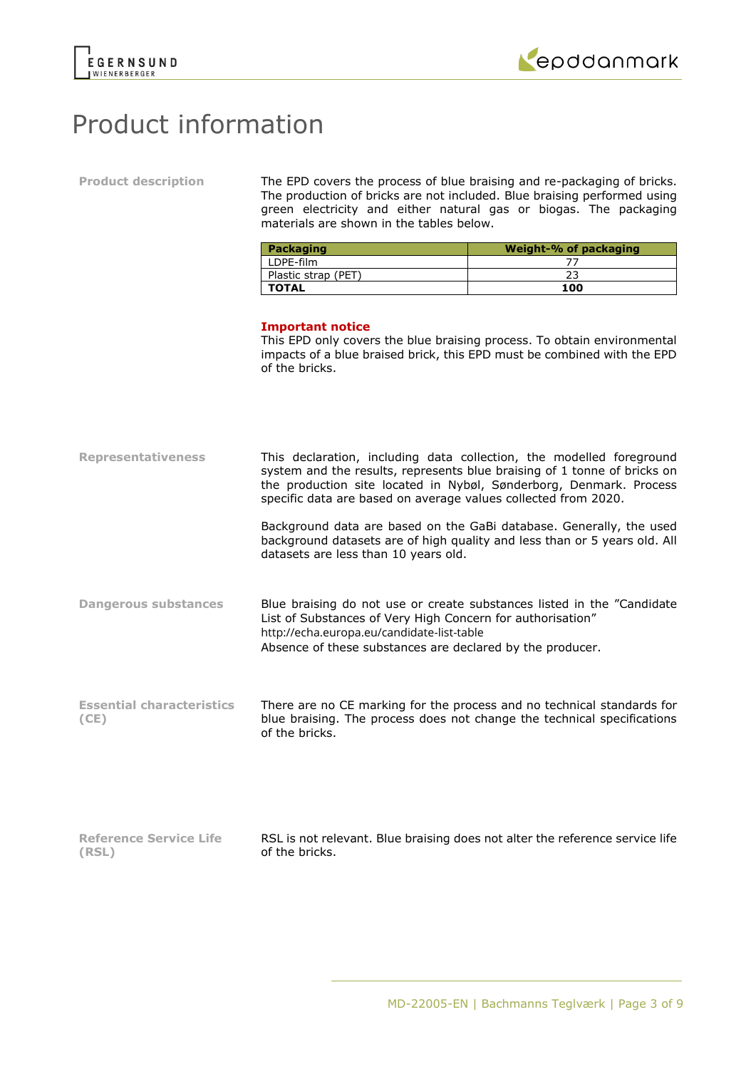

**(RSL)**



# Product information

| <b>Product description</b> |  |
|----------------------------|--|
|----------------------------|--|

The EPD covers the process of blue braising and re-packaging of bricks. The production of bricks are not included. Blue braising performed using green electricity and either natural gas or biogas. The packaging materials are shown in the tables below.

| Packaging           | Weight-% of packaging |
|---------------------|-----------------------|
| LDPE-film           |                       |
| Plastic strap (PET) |                       |
| <b>TOTAL</b>        | 100                   |

### **Important notice**

of the bricks.

This EPD only covers the blue braising process. To obtain environmental impacts of a blue braised brick, this EPD must be combined with the EPD of the bricks.

| <b>Representativeness</b>                | This declaration, including data collection, the modelled foreground<br>system and the results, represents blue braising of 1 tonne of bricks on<br>the production site located in Nybøl, Sønderborg, Denmark. Process<br>specific data are based on average values collected from 2020. |
|------------------------------------------|------------------------------------------------------------------------------------------------------------------------------------------------------------------------------------------------------------------------------------------------------------------------------------------|
|                                          | Background data are based on the GaBi database. Generally, the used<br>background datasets are of high quality and less than or 5 years old. All<br>datasets are less than 10 years old.                                                                                                 |
| <b>Dangerous substances</b>              | Blue braising do not use or create substances listed in the "Candidate"<br>List of Substances of Very High Concern for authorisation"<br>http://echa.europa.eu/candidate-list-table<br>Absence of these substances are declared by the producer.                                         |
| <b>Essential characteristics</b><br>(CE) | There are no CE marking for the process and no technical standards for<br>blue braising. The process does not change the technical specifications<br>of the bricks.                                                                                                                      |
| <b>Reference Service Life</b>            | RSL is not relevant. Blue braising does not alter the reference service life                                                                                                                                                                                                             |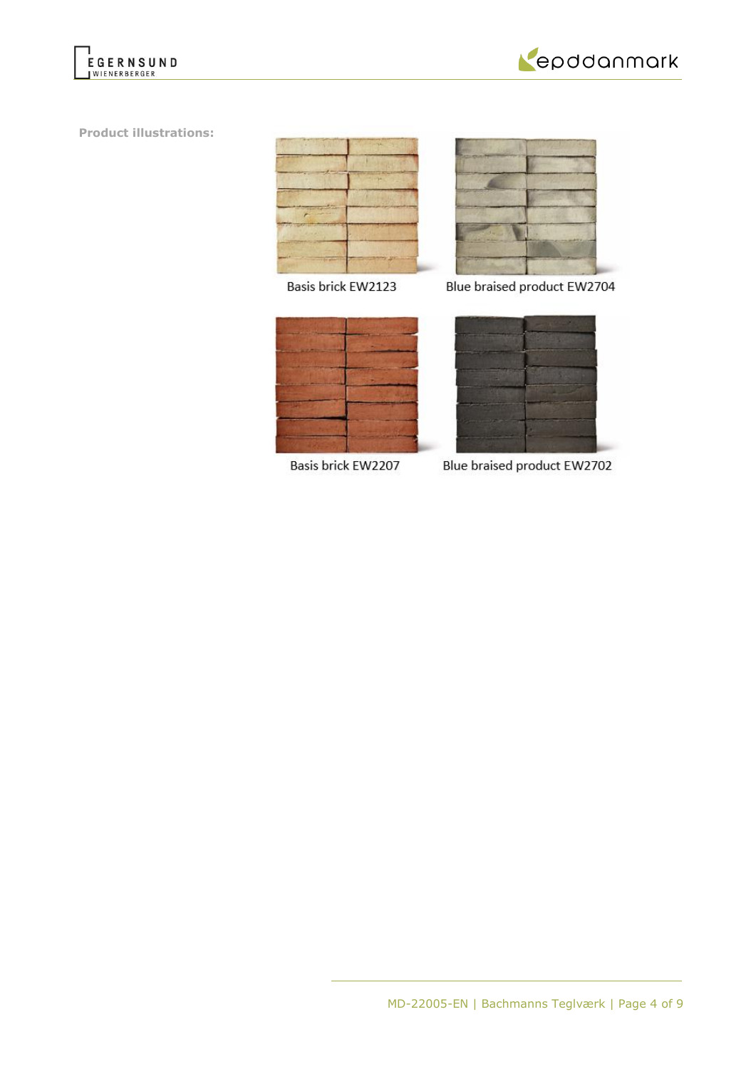



**Product illustrations:**



Basis brick EW2123



Blue braised product EW2704



Basis brick EW2207

Blue braised product EW2702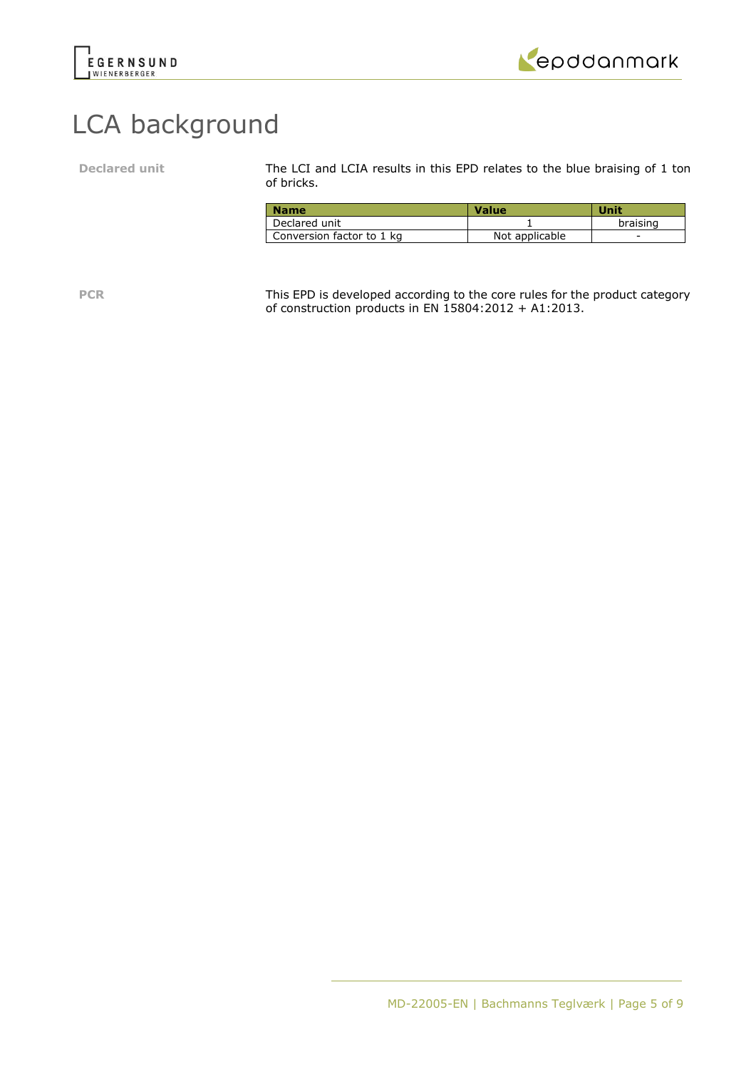



# LCA background

Declared unit The LCI and LCIA results in this EPD relates to the blue braising of 1 ton of bricks.

| <b>Name</b>               | <b>Value</b>   | Unit     |
|---------------------------|----------------|----------|
| Declared unit             |                | braising |
| Conversion factor to 1 kg | Not applicable | -        |

PCR This EPD is developed according to the core rules for the product category of construction products in EN 15804:2012 + A1:2013.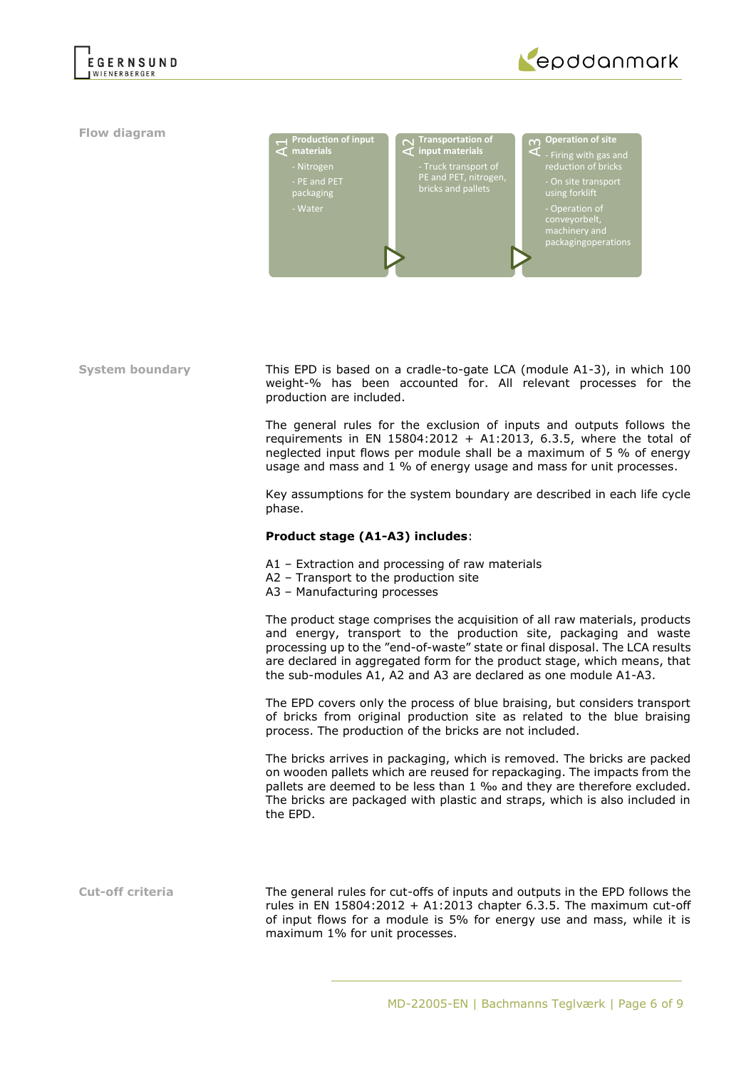

**Flow diagram**



Fructurion fingut Transport Conduction of Team PFT (The Pand PFT of the PE and PFT of the packaging<br>
Truck transform and the process of the security<br>
This EPD is based on a cradle-to-<br>
mediate in EN 15804:2012<br>
usage and m **materials** - Nitrogen - PE and PET packaging A2**Transportation of input materials** PE and PET, nitrogen, **n** Operation of site<br>**T** - Firing with gas and using forklift - Operation of<br>conveyorbelt

**System boundary** This EPD is based on a cradle-to-gate LCA (module A1-3), in which 100 weight-% has been accounted for. All relevant processes for the production are included.

> The general rules for the exclusion of inputs and outputs follows the requirements in EN 15804:2012 + A1:2013, 6.3.5, where the total of neglected input flows per module shall be a maximum of 5 % of energy usage and mass and 1 % of energy usage and mass for unit processes.

> Key assumptions for the system boundary are described in each life cycle phase.

#### **Product stage (A1-A3) includes**:

- A1 Extraction and processing of raw materials
- A2 Transport to the production site
- A3 Manufacturing processes

The product stage comprises the acquisition of all raw materials, products and energy, transport to the production site, packaging and waste processing up to the "end-of-waste" state or final disposal. The LCA results are declared in aggregated form for the product stage, which means, that the sub-modules A1, A2 and A3 are declared as one module A1-A3.

The EPD covers only the process of blue braising, but considers transport of bricks from original production site as related to the blue braising process. The production of the bricks are not included.

The bricks arrives in packaging, which is removed. The bricks are packed on wooden pallets which are reused for repackaging. The impacts from the pallets are deemed to be less than 1 ‰ and they are therefore excluded. The bricks are packaged with plastic and straps, which is also included in the EPD.

**Cut-off criteria** The general rules for cut-offs of inputs and outputs in the EPD follows the rules in EN 15804:2012 + A1:2013 chapter 6.3.5. The maximum cut-off of input flows for a module is 5% for energy use and mass, while it is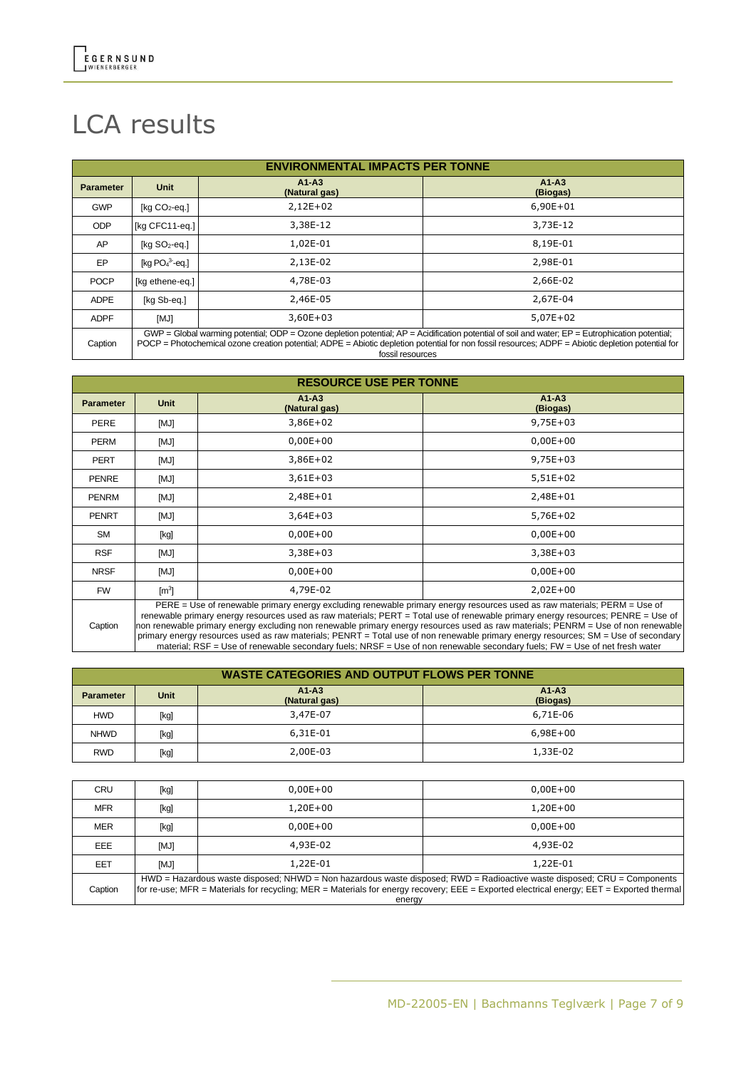# LCA results

| <b>ENVIRONMENTAL IMPACTS PER TONNE</b> |                                                                                                                                                                                                                                                                                                             |                          |                     |  |
|----------------------------------------|-------------------------------------------------------------------------------------------------------------------------------------------------------------------------------------------------------------------------------------------------------------------------------------------------------------|--------------------------|---------------------|--|
| <b>Parameter</b>                       | <b>Unit</b>                                                                                                                                                                                                                                                                                                 | $A1-A3$<br>(Natural gas) | $A1-A3$<br>(Biogas) |  |
| <b>GWP</b>                             | [ $kg CO2$ -eq.]                                                                                                                                                                                                                                                                                            | $2,12E+02$               | $6,90E + 01$        |  |
| <b>ODP</b>                             | [kg CFC11-eg.]                                                                                                                                                                                                                                                                                              | 3,38E-12                 | 3,73E-12            |  |
| AP.                                    | [ $kg SO2-eq.$ ]                                                                                                                                                                                                                                                                                            | 1,02E-01                 | 8,19E-01            |  |
| EP                                     | [kg $PO43$ -eg.]                                                                                                                                                                                                                                                                                            | 2,13E-02                 | 2,98E-01            |  |
| <b>POCP</b>                            | [kg ethene-eq.]                                                                                                                                                                                                                                                                                             | 4,78E-03                 | 2,66E-02            |  |
| <b>ADPE</b>                            | [kg Sb-eq.]                                                                                                                                                                                                                                                                                                 | 2,46E-05                 | 2,67E-04            |  |
| <b>ADPF</b>                            | [MJ]                                                                                                                                                                                                                                                                                                        | $3,60E+03$               | $5,07E+02$          |  |
| Caption                                | $GWP = Global$ warming potential; ODP = Ozone depletion potential; $AP =$ Acidification potential of soil and water; $EP =$ Eutrophication potential;<br>POCP = Photochemical ozone creation potential; ADPE = Abiotic depletion potential for non fossil resources; ADPF = Abiotic depletion potential for |                          |                     |  |

POCP = Photochemical ozone creation potential; ADPE = Abiotic depletion potential for non fossil resources; ADPF = Abiotic depletion potential for fossil resources

|                  | <b>RESOURCE USE PER TONNE</b> |                          |                                                                                                                                                                                                                                                              |  |  |
|------------------|-------------------------------|--------------------------|--------------------------------------------------------------------------------------------------------------------------------------------------------------------------------------------------------------------------------------------------------------|--|--|
| <b>Parameter</b> | Unit                          | $A1-A3$<br>(Natural gas) | $A1-A3$<br>(Biogas)                                                                                                                                                                                                                                          |  |  |
| PERE             | [MJ]                          | $3,86E+02$               | $9,75E+03$                                                                                                                                                                                                                                                   |  |  |
| <b>PERM</b>      | [MJ]                          | $0,00E + 00$             | $0,00E + 00$                                                                                                                                                                                                                                                 |  |  |
| <b>PERT</b>      | [MJ]                          | $3,86E+02$               | $9,75E+03$                                                                                                                                                                                                                                                   |  |  |
| <b>PENRE</b>     | [MJ]                          | $3,61E+03$               | $5,51E+02$                                                                                                                                                                                                                                                   |  |  |
| <b>PENRM</b>     | [MJ]                          | 2,48E+01                 | 2,48E+01                                                                                                                                                                                                                                                     |  |  |
| <b>PENRT</b>     | [MJ]                          | $3,64E+03$               | $5,76E+02$                                                                                                                                                                                                                                                   |  |  |
| <b>SM</b>        | [kg]                          | $0,00E + 00$             | $0,00E + 00$                                                                                                                                                                                                                                                 |  |  |
| <b>RSF</b>       | [MJ]                          | $3,38E+03$               | $3,38E+03$                                                                                                                                                                                                                                                   |  |  |
| <b>NRSF</b>      | [MJ]                          | $0,00E+00$               | $0,00E + 00$                                                                                                                                                                                                                                                 |  |  |
| <b>FW</b>        | $\mathsf{[m^3]}$              | 4,79E-02                 | $2,02E+00$                                                                                                                                                                                                                                                   |  |  |
|                  |                               |                          | PERE = Use of renewable primary energy excluding renewable primary energy resources used as raw materials; PERM = Use of<br>renewable primary energy resources used as raw materials; PERT = Total use of renewable primary energy resources; PENRE = Use of |  |  |

Caption non renewable primary energy excluding non renewable primary energy resources used as raw materials; PENRM = Use of non renewable primary energy resources used as raw materials; PENRT = Total use of non renewable primary energy resources; SM = Use of secondary material; RSF = Use of renewable secondary fuels; NRSF = Use of non renewable secondary fuels; FW = Use of net fresh water

| <b>WASTE CATEGORIES AND OUTPUT FLOWS PER TONNE</b> |      |                          |                     |  |  |
|----------------------------------------------------|------|--------------------------|---------------------|--|--|
| <b>Parameter</b>                                   | Unit | $A1-A3$<br>(Natural gas) | $A1-A3$<br>(Biogas) |  |  |
| <b>HWD</b>                                         | [kg] | 3,47E-07                 | 6,71E-06            |  |  |
| <b>NHWD</b>                                        | [kg] | 6,31E-01                 | $6.98E + 00$        |  |  |
| <b>RWD</b>                                         | [kg] | 2,00E-03                 | 1,33E-02            |  |  |

| <b>CRU</b> | [kg]                                                                                                                    | $0.00E + 00$                                                                                                                             | $0.00E + 00$ |  |  |  |
|------------|-------------------------------------------------------------------------------------------------------------------------|------------------------------------------------------------------------------------------------------------------------------------------|--------------|--|--|--|
|            |                                                                                                                         |                                                                                                                                          |              |  |  |  |
| <b>MFR</b> | [kg]                                                                                                                    | $1.20E + 00$                                                                                                                             | $1.20E + 00$ |  |  |  |
| <b>MER</b> | [kg]                                                                                                                    | $0.00E + 00$                                                                                                                             | $0.00E + 00$ |  |  |  |
| EEE        | [MJ]                                                                                                                    | 4,93E-02                                                                                                                                 | 4,93E-02     |  |  |  |
| <b>EET</b> | [MJ]                                                                                                                    | 1,22E-01                                                                                                                                 | 1,22E-01     |  |  |  |
|            | HWD = Hazardous waste disposed; NHWD = Non hazardous waste disposed; RWD = Radioactive waste disposed; CRU = Components |                                                                                                                                          |              |  |  |  |
| Caption    |                                                                                                                         | for re-use; MFR = Materials for recycling; MER = Materials for energy recovery; EEE = Exported electrical energy; EET = Exported thermal |              |  |  |  |
|            |                                                                                                                         | energy                                                                                                                                   |              |  |  |  |
|            |                                                                                                                         |                                                                                                                                          |              |  |  |  |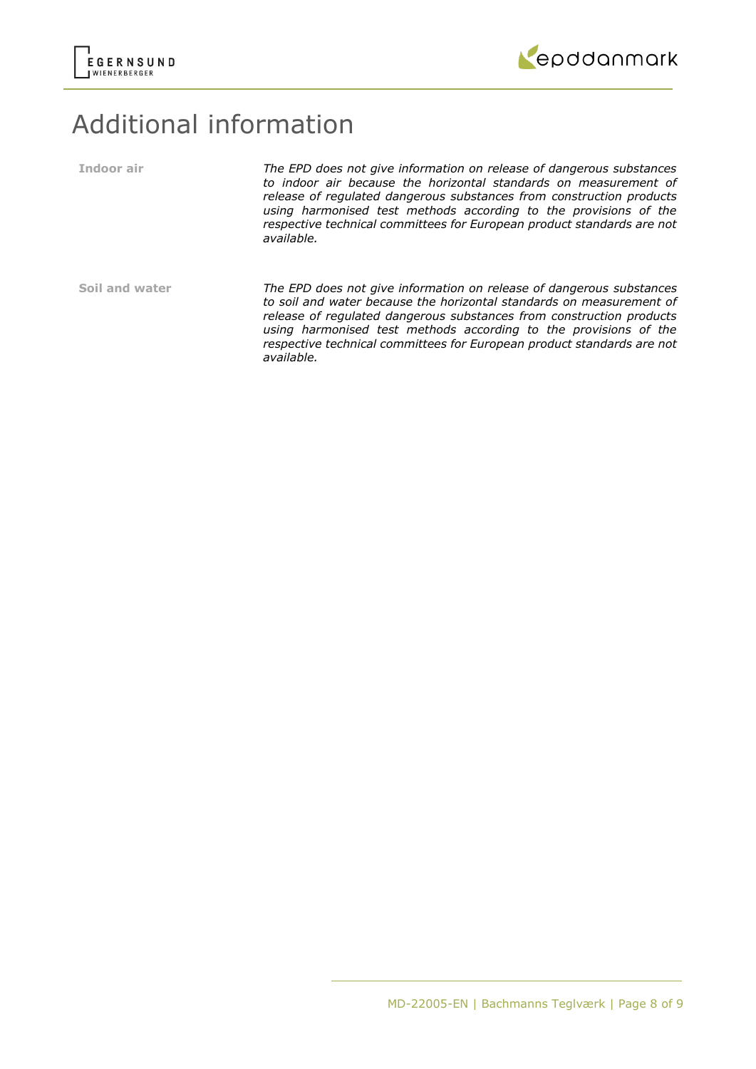



# Additional information

| Indoor air     | The EPD does not give information on release of dangerous substances<br>to indoor air because the horizontal standards on measurement of<br>release of regulated dangerous substances from construction products<br>using harmonised test methods according to the provisions of the<br>respective technical committees for European product standards are not<br>available.     |
|----------------|----------------------------------------------------------------------------------------------------------------------------------------------------------------------------------------------------------------------------------------------------------------------------------------------------------------------------------------------------------------------------------|
| Soil and water | The EPD does not give information on release of dangerous substances<br>to soil and water because the horizontal standards on measurement of<br>release of regulated dangerous substances from construction products<br>using harmonised test methods according to the provisions of the<br>respective technical committees for European product standards are not<br>available. |